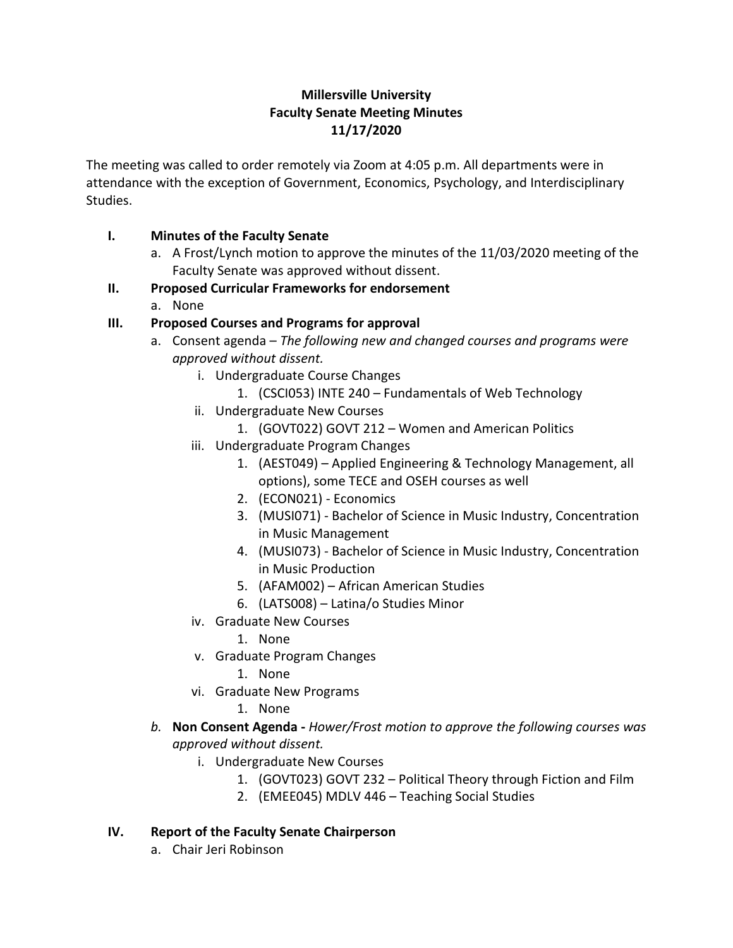# **Millersville University Faculty Senate Meeting Minutes 11/17/2020**

The meeting was called to order remotely via Zoom at 4:05 p.m. All departments were in attendance with the exception of Government, Economics, Psychology, and Interdisciplinary Studies.

### **I. Minutes of the Faculty Senate**

a. A Frost/Lynch motion to approve the minutes of the 11/03/2020 meeting of the Faculty Senate was approved without dissent.

## **II. Proposed Curricular Frameworks for endorsement**

a. None

# **III. Proposed Courses and Programs for approval**

- a. Consent agenda *The following new and changed courses and programs were approved without dissent.*
	- i. Undergraduate Course Changes
		- 1. (CSCI053) INTE 240 Fundamentals of Web Technology
	- ii. Undergraduate New Courses
		- 1. (GOVT022) GOVT 212 Women and American Politics
	- iii. Undergraduate Program Changes
		- 1. (AEST049) Applied Engineering & Technology Management, all options), some TECE and OSEH courses as well
		- 2. (ECON021) Economics
		- 3. (MUSI071) Bachelor of Science in Music Industry, Concentration in Music Management
		- 4. (MUSI073) Bachelor of Science in Music Industry, Concentration in Music Production
		- 5. (AFAM002) African American Studies
		- 6. (LATS008) Latina/o Studies Minor
	- iv. Graduate New Courses
		- 1. None
	- v. Graduate Program Changes
		- 1. None
	- vi. Graduate New Programs
		- 1. None
- *b.* **Non Consent Agenda -** *Hower/Frost motion to approve the following courses was approved without dissent.* 
	- i. Undergraduate New Courses
		- 1. (GOVT023) GOVT 232 Political Theory through Fiction and Film
		- 2. (EMEE045) MDLV 446 Teaching Social Studies

#### **IV. Report of the Faculty Senate Chairperson**

a. Chair Jeri Robinson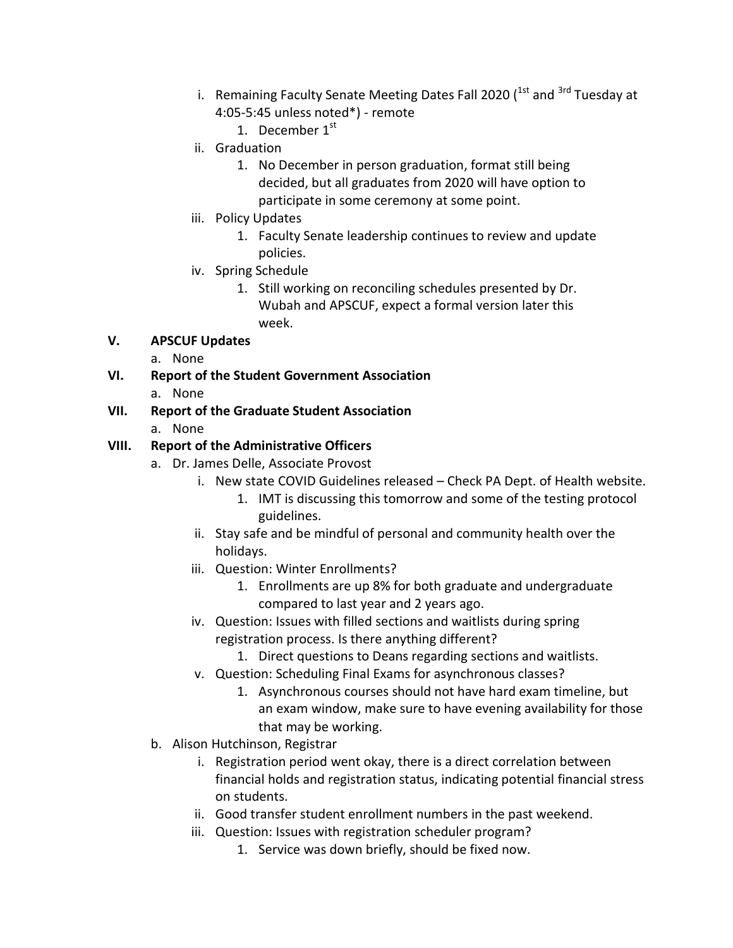- i. Remaining Faculty Senate Meeting Dates Fall 2020 ( $^{1st}$  and  $^{3rd}$  Tuesday at 4:05-5:45 unless noted\*) - remote
	- 1. December  $1^{st}$
- ii. Graduation
	- 1. No December in person graduation, format still being decided, but all graduates from 2020 will have option to participate in some ceremony at some point.
- iii. Policy Updates
	- 1. Faculty Senate leadership continues to review and update policies.
- iv. Spring Schedule
	- 1. Still working on reconciling schedules presented by Dr. Wubah and APSCUF, expect a formal version later this week.

# **V. APSCUF Updates**

- a. None
- **VI. Report of the Student Government Association** a. None

## **VII. Report of the Graduate Student Association**

a. None

#### **VIII. Report of the Administrative Officers**

- a. Dr. James Delle, Associate Provost
	- i. New state COVID Guidelines released Check PA Dept. of Health website.
		- 1. IMT is discussing this tomorrow and some of the testing protocol guidelines.
	- ii. Stay safe and be mindful of personal and community health over the holidays.
	- iii. Question: Winter Enrollments?
		- 1. Enrollments are up 8% for both graduate and undergraduate compared to last year and 2 years ago.
	- iv. Question: Issues with filled sections and waitlists during spring registration process. Is there anything different?
		- 1. Direct questions to Deans regarding sections and waitlists.
	- v. Question: Scheduling Final Exams for asynchronous classes?
		- 1. Asynchronous courses should not have hard exam timeline, but an exam window, make sure to have evening availability for those that may be working.
- b. Alison Hutchinson, Registrar
	- i. Registration period went okay, there is a direct correlation between financial holds and registration status, indicating potential financial stress on students.
	- ii. Good transfer student enrollment numbers in the past weekend.
	- iii. Question: Issues with registration scheduler program?
		- 1. Service was down briefly, should be fixed now.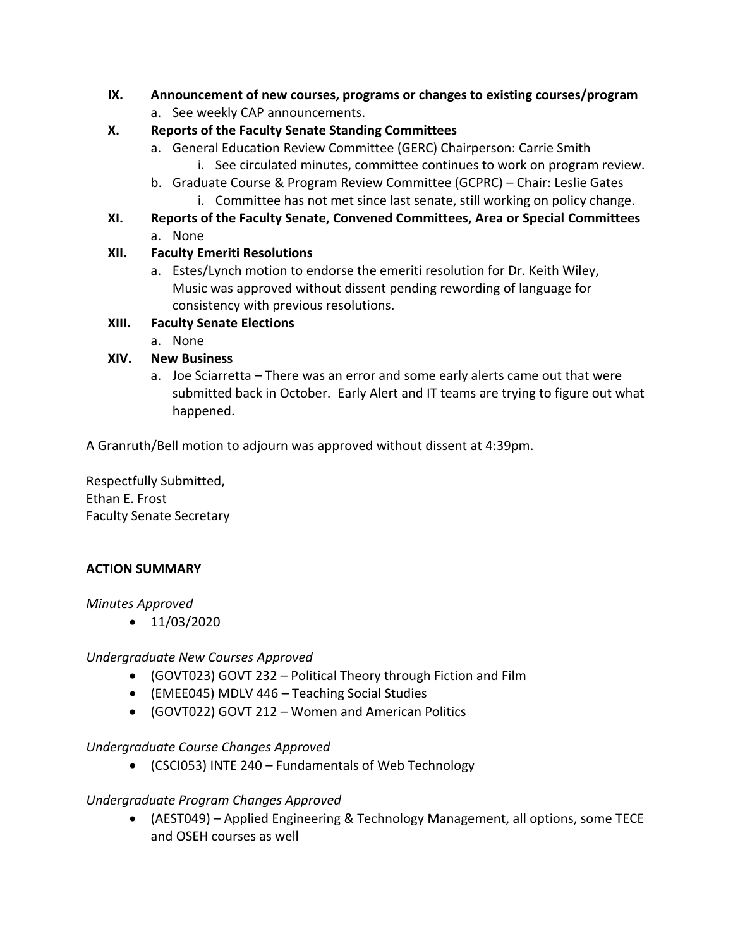- **IX. Announcement of new courses, programs or changes to existing courses/program**
	- a. See weekly CAP announcements.

## **X. Reports of the Faculty Senate Standing Committees**

- a. General Education Review Committee (GERC) Chairperson: Carrie Smith
	- i. See circulated minutes, committee continues to work on program review.
- b. Graduate Course & Program Review Committee (GCPRC) Chair: Leslie Gates i. Committee has not met since last senate, still working on policy change.
- **XI. Reports of the Faculty Senate, Convened Committees, Area or Special Committees** a. None

#### **XII. Faculty Emeriti Resolutions**

a. Estes/Lynch motion to endorse the emeriti resolution for Dr. Keith Wiley, Music was approved without dissent pending rewording of language for consistency with previous resolutions.

## **XIII. Faculty Senate Elections**

a. None

## **XIV. New Business**

a. Joe Sciarretta – There was an error and some early alerts came out that were submitted back in October. Early Alert and IT teams are trying to figure out what happened.

A Granruth/Bell motion to adjourn was approved without dissent at 4:39pm.

Respectfully Submitted, Ethan E. Frost Faculty Senate Secretary

# **ACTION SUMMARY**

#### *Minutes Approved*

 $\bullet$  11/03/2020

#### *Undergraduate New Courses Approved*

- (GOVT023) GOVT 232 Political Theory through Fiction and Film
- (EMEE045) MDLV 446 Teaching Social Studies
- (GOVT022) GOVT 212 Women and American Politics

#### *Undergraduate Course Changes Approved*

(CSCI053) INTE 240 – Fundamentals of Web Technology

#### *Undergraduate Program Changes Approved*

 (AEST049) – Applied Engineering & Technology Management, all options, some TECE and OSEH courses as well